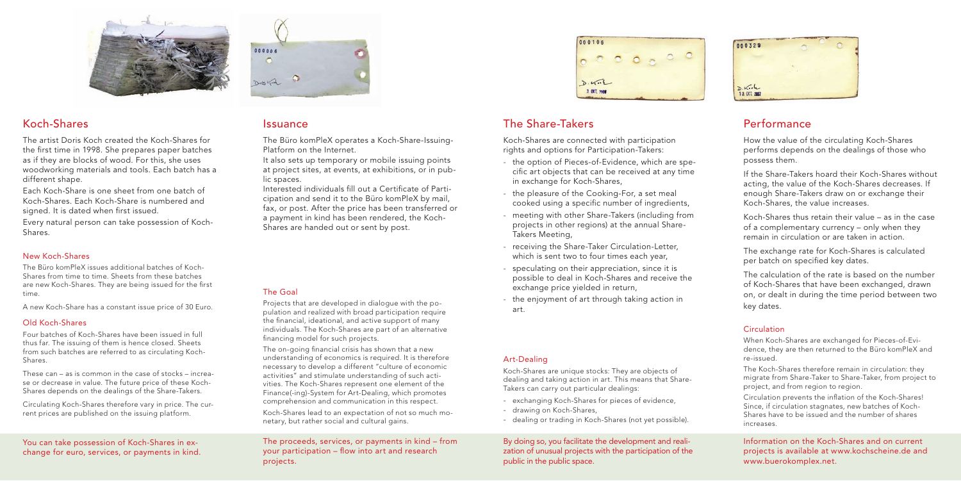You can take possession of Koch-Shares in exchange for euro, services, or payments in kind.



The proceeds, services, or payments in kind – from your participation – flow into art and research projects.



# Koch-Shares Issuance The Share-Takers Performance

By doing so, you facilitate the development and realization of unusual projects with the participation of the public in the public space.

000329  $D.K.H$ 10 GKT 2007

Each Koch-Share is one sheet from one batch of Koch-Shares. Each Koch-Share is numbered and signed. It is dated when first issued.

> Information on the Koch-Shares and on current projects is available at www.kochscheine.de and www.buerokomplex.net.



The artist Doris Koch created the Koch-Shares for the first time in 1998. She prepares paper batches as if they are blocks of wood. For this, she uses woodworking materials and tools. Each batch has a different shape.

Every natural person can take possession of Koch-Shares.

### New Koch-Shares

The Büro komPleX issues additional batches of Koch-Shares from time to time. Sheets from these batches are new Koch-Shares. They are being issued for the first time.

A new Koch-Share has a constant issue price of 30 Euro.

### Old Koch-Shares

Four batches of Koch-Shares have been issued in full thus far. The issuing of them is hence closed. Sheets from such batches are referred to as circulating Koch-Shares.

These can – as is common in the case of stocks – increase or decrease in value. The future price of these Koch-Shares depends on the dealings of the Share-Takers.

Interested individuals fill out a Certificate of Participation and send it to the Büro komPleX by mail, fax, or post. After the price has been transferred or a payment in kind has been rendered, the Koch-Shares are handed out or sent by post.

Projects that are developed in dialogue with the population and realized with broad participation require the financial, ideational, and active support of many individuals. The Koch-Shares are part of an alternative financing model for such projects.

Circulating Koch-Shares therefore vary in price. The current prices are published on the issuing platform.

Koch-Shares are connected with participation rights and options for Participation-Takers:

The on-going financial crisis has shown that a new understanding of economics is required. It is therefore necessary to develop a different "culture of economic activities" and stimulate understanding of such activities. The Koch-Shares represent one element of the Finance(-ing)-System for Art-Dealing, which promotes comprehension and communication in this respect.

- the option of Pieces-of-Evidence, which are specific art objects that can be received at any time in exchange for Koch-Shares,
- the pleasure of the Cooking-For, a set meal cooked using a specific number of ingredients,
- meeting with other Share-Takers (including from projects in other regions) at the annual Share-Takers Meeting,
- receiving the Share-Taker Circulation-Letter, which is sent two to four times each year,
- speculating on their appreciation, since it is possible to deal in Koch-Shares and receive the exchange price yielded in return,
- the enjoyment of art through taking action in art.

The exchange rate for Koch-Shares is calculated per batch on specified key dates.

### Art-Dealing

Koch-Shares are unique stocks: They are objects of dealing and taking action in art. This means that Share-Takers can carry out particular dealings:

Circulation prevents the inflation of the Koch-Shares! Since, if circulation stagnates, new batches of Koch-Shares have to be issued and the number of shares increases.

- exchanging Koch-Shares for pieces of evidence,
- drawing on Koch-Shares,
- dealing or trading in Koch-Shares (not yet possible).

The Büro komPleX operates a Koch-Share-Issuing-Platform on the Internet.

It also sets up temporary or mobile issuing points at project sites, at events, at exhibitions, or in public spaces.

### The Goal

Koch-Shares lead to an expectation of not so much monetary, but rather social and cultural gains.

How the value of the circulating Koch-Shares performs depends on the dealings of those who possess them.

If the Share-Takers hoard their Koch-Shares without acting, the value of the Koch-Shares decreases. If enough Share-Takers draw on or exchange their Koch-Shares, the value increases.

Koch-Shares thus retain their value – as in the case of a complementary currency – only when they remain in circulation or are taken in action.

The calculation of the rate is based on the number of Koch-Shares that have been exchanged, drawn on, or dealt in during the time period between two key dates.

### **Circulation**

When Koch-Shares are exchanged for Pieces-of-Evidence, they are then returned to the Büro komPleX and re-issued.

The Koch-Shares therefore remain in circulation: they migrate from Share-Taker to Share-Taker, from project to project, and from region to region.